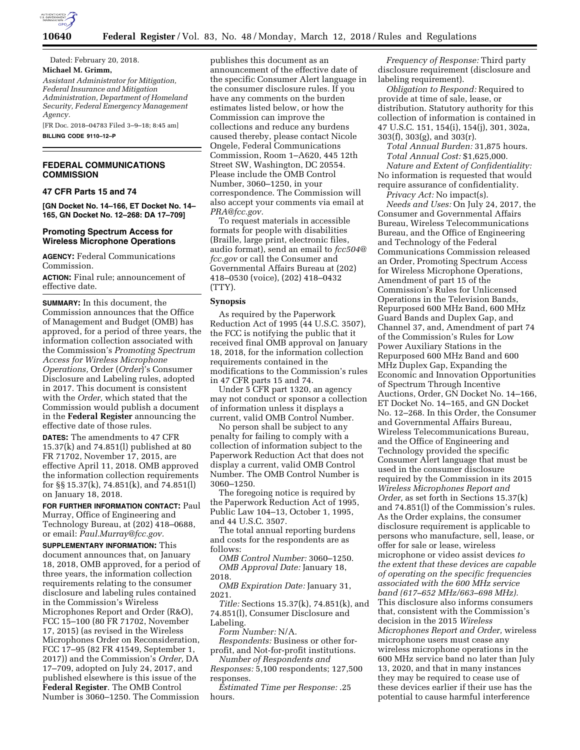

Dated: February 20, 2018. **Michael M. Grimm,** 

*Assistant Administrator for Mitigation, Federal Insurance and Mitigation Administration, Department of Homeland Security, Federal Emergency Management Agency.* 

[FR Doc. 2018–04783 Filed 3–9–18; 8:45 am] **BILLING CODE 9110–12–P** 

## **FEDERAL COMMUNICATIONS COMMISSION**

**47 CFR Parts 15 and 74** 

**[GN Docket No. 14–166, ET Docket No. 14– 165, GN Docket No. 12–268: DA 17–709]** 

#### **Promoting Spectrum Access for Wireless Microphone Operations**

**AGENCY:** Federal Communications Commission.

**ACTION:** Final rule; announcement of effective date.

**SUMMARY:** In this document, the Commission announces that the Office of Management and Budget (OMB) has approved, for a period of three years, the information collection associated with the Commission's *Promoting Spectrum Access for Wireless Microphone Operations,* Order (*Order*)'s Consumer Disclosure and Labeling rules, adopted in 2017. This document is consistent with the *Order,* which stated that the Commission would publish a document in the **Federal Register** announcing the effective date of those rules.

**DATES:** The amendments to 47 CFR 15.37(k) and 74.851(l) published at 80 FR 71702, November 17, 2015, are effective April 11, 2018. OMB approved the information collection requirements for §§ 15.37(k), 74.851(k), and 74.851(l) on January 18, 2018.

**FOR FURTHER INFORMATION CONTACT:** Paul Murray, Office of Engineering and Technology Bureau, at (202) 418–0688, or email: *[Paul.Murray@fcc.gov.](mailto:Paul.Murray@fcc.gov)* 

**SUPPLEMENTARY INFORMATION:** This document announces that, on January 18, 2018, OMB approved, for a period of three years, the information collection requirements relating to the consumer disclosure and labeling rules contained in the Commission's Wireless Microphones Report and Order (R&O), FCC 15–100 (80 FR 71702, November 17, 2015) (as revised in the Wireless Microphones Order on Reconsideration, FCC 17–95 (82 FR 41549, September 1, 2017)) and the Commission's *Order,* DA 17–709, adopted on July 24, 2017, and published elsewhere is this issue of the **Federal Register**. The OMB Control Number is 3060–1250. The Commission

publishes this document as an announcement of the effective date of the specific Consumer Alert language in the consumer disclosure rules. If you have any comments on the burden estimates listed below, or how the Commission can improve the collections and reduce any burdens caused thereby, please contact Nicole Ongele, Federal Communications Commission, Room 1–A620, 445 12th Street SW, Washington, DC 20554. Please include the OMB Control Number, 3060–1250, in your correspondence. The Commission will also accept your comments via email at *[PRA@fcc.gov.](mailto:PRA@fcc.gov)* 

To request materials in accessible formats for people with disabilities (Braille, large print, electronic files, audio format), send an email to *[fcc504@](mailto:fcc504@fcc.gov) [fcc.gov](mailto:fcc504@fcc.gov)* or call the Consumer and Governmental Affairs Bureau at (202) 418–0530 (voice), (202) 418–0432 (TTY).

#### **Synopsis**

As required by the Paperwork Reduction Act of 1995 (44 U.S.C. 3507), the FCC is notifying the public that it received final OMB approval on January 18, 2018, for the information collection requirements contained in the modifications to the Commission's rules in 47 CFR parts 15 and 74.

Under 5 CFR part 1320, an agency may not conduct or sponsor a collection of information unless it displays a current, valid OMB Control Number.

No person shall be subject to any penalty for failing to comply with a collection of information subject to the Paperwork Reduction Act that does not display a current, valid OMB Control Number. The OMB Control Number is 3060–1250.

The foregoing notice is required by the Paperwork Reduction Act of 1995, Public Law 104–13, October 1, 1995, and 44 U.S.C. 3507.

The total annual reporting burdens and costs for the respondents are as follows:

*OMB Control Number:* 3060–1250. *OMB Approval Date:* January 18, 2018.

*OMB Expiration Date:* January 31, 2021.

*Title:* Sections 15.37(k), 74.851(k), and 74.851(l), Consumer Disclosure and Labeling.

*Form Number:* N/A.

*Respondents:* Business or other forprofit, and Not-for-profit institutions.

*Number of Respondents and Responses:* 5,100 respondents; 127,500 responses.

*Estimated Time per Response:* .25 hours.

*Frequency of Response:* Third party disclosure requirement (disclosure and labeling requirement).

*Obligation to Respond:* Required to provide at time of sale, lease, or distribution. Statutory authority for this collection of information is contained in 47 U.S.C. 151, 154(i), 154(j), 301, 302a, 303(f), 303(g), and 303(r).

*Total Annual Burden:* 31,875 hours. *Total Annual Cost:* \$1,625,000. *Nature and Extent of Confidentiality:*  No information is requested that would require assurance of confidentiality.

*Privacy Act:* No impact(s).

*Needs and Uses:* On July 24, 2017, the Consumer and Governmental Affairs Bureau, Wireless Telecommunications Bureau, and the Office of Engineering and Technology of the Federal Communications Commission released an Order, Promoting Spectrum Access for Wireless Microphone Operations, Amendment of part 15 of the Commission's Rules for Unlicensed Operations in the Television Bands, Repurposed 600 MHz Band, 600 MHz Guard Bands and Duplex Gap, and Channel 37, and, Amendment of part 74 of the Commission's Rules for Low Power Auxiliary Stations in the Repurposed 600 MHz Band and 600 MHz Duplex Gap, Expanding the Economic and Innovation Opportunities of Spectrum Through Incentive Auctions, Order, GN Docket No. 14–166, ET Docket No. 14–165, and GN Docket No. 12–268. In this Order, the Consumer and Governmental Affairs Bureau, Wireless Telecommunications Bureau, and the Office of Engineering and Technology provided the specific Consumer Alert language that must be used in the consumer disclosure required by the Commission in its 2015 *Wireless Microphones Report and Order,* as set forth in Sections 15.37(k) and 74.851(l) of the Commission's rules. As the Order explains, the consumer disclosure requirement is applicable to persons who manufacture, sell, lease, or offer for sale or lease, wireless microphone or video assist devices *to the extent that these devices are capable of operating on the specific frequencies associated with the 600 MHz service band (617–652 MHz/663–698 MHz).*  This disclosure also informs consumers that, consistent with the Commission's decision in the 2015 *Wireless Microphones Report and Order,* wireless microphone users must cease any wireless microphone operations in the 600 MHz service band no later than July 13, 2020, and that in many instances they may be required to cease use of these devices earlier if their use has the potential to cause harmful interference